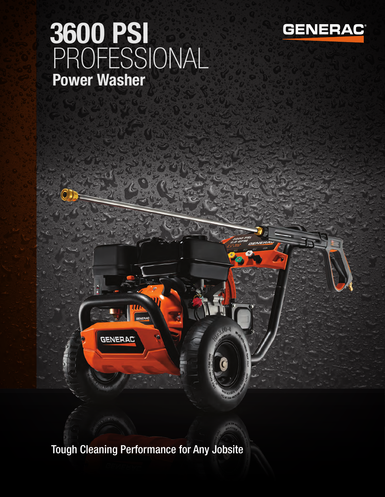## 3600 PSI PROFESSIONAL Power Washer





Tough Cleaning Performance for Any Jobsite